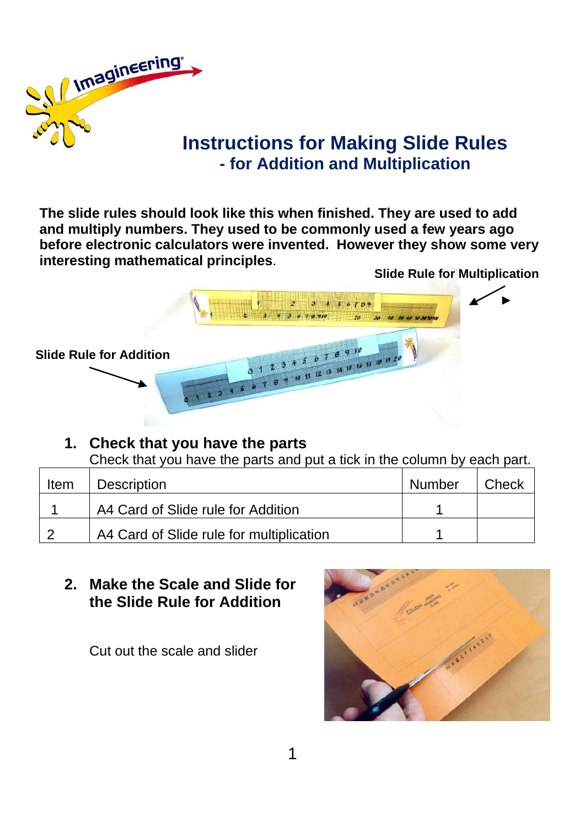

# **Instructions for Making Slide Rules - for Addition and Multiplication**

**The slide rules should look like this when finished. They are used to add and multiply numbers. They used to be commonly used a few years ago before electronic calculators were invented. However they show some very interesting mathematical principles**.

**Slide Rule for Multiplication**



#### **1. Check that you have the parts**

Check that you have the parts and put a tick in the column by each part.

| Item   | <b>Description</b>                       | Number | Check |
|--------|------------------------------------------|--------|-------|
|        | A4 Card of Slide rule for Addition       |        |       |
| $\sim$ | A4 Card of Slide rule for multiplication |        |       |

### **2. Make the Scale and Slide for the Slide Rule for Addition**

Cut out the scale and slider

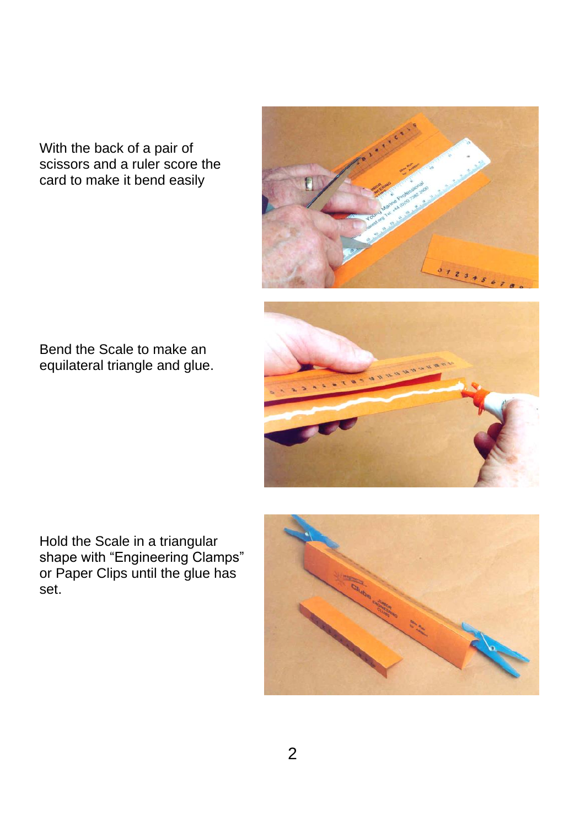With the back of a pair of scissors and a ruler score the card to make it bend easily





Bend the Scale to make an equilateral triangle and glue.

Hold the Scale in a triangular shape with "Engineering Clamps" or Paper Clips until the glue has set.

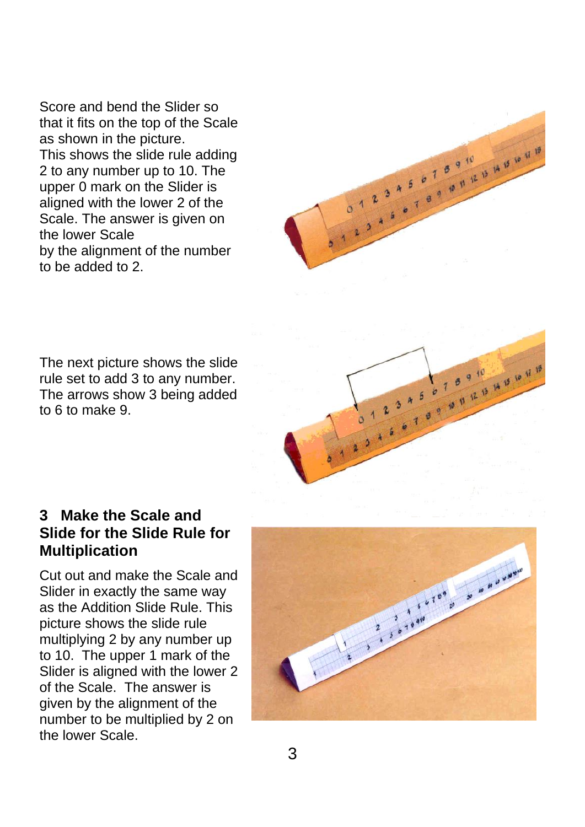Score and bend the Slider so that it fits on the top of the Scale as shown in the picture. This shows the slide rule adding 2 to any number up to 10. The upper 0 mark on the Slider is aligned with the lower 2 of the Scale. The answer is given on the lower Scale by the alignment of the number to be added to 2.



The next picture shows the slide rule set to add 3 to any number. The arrows show 3 being added to 6 to make 9.



#### **3 Make the Scale and Slide for the Slide Rule for Multiplication**

Cut out and make the Scale and Slider in exactly the same way as the Addition Slide Rule. This picture shows the slide rule multiplying 2 by any number up to 10. The upper 1 mark of the Slider is aligned with the lower 2 of the Scale. The answer is given by the alignment of the number to be multiplied by 2 on the lower Scale.